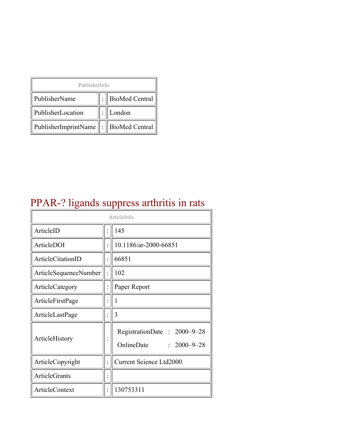| PublisherInfo                              |  |                  |  |  |
|--------------------------------------------|--|------------------|--|--|
| PublisherName                              |  | : BioMed Central |  |  |
| PublisherLocation                          |  | London           |  |  |
| PublisherImprintName   :    BioMed Central |  |                  |  |  |

# PPAR-? ligands suppress arthritis in rats

| ArticleInfo           |  |                                                                |
|-----------------------|--|----------------------------------------------------------------|
| ArticleID             |  | 145                                                            |
| ArticleDOI            |  | 10.1186/ar-2000-66851                                          |
| ArticleCitationID     |  | 66851                                                          |
| ArticleSequenceNumber |  | 102                                                            |
| ArticleCategory       |  | Paper Report                                                   |
| ArticleFirstPage      |  | 1                                                              |
| ArticleLastPage       |  | 3                                                              |
| ArticleHistory        |  | RegistrationDate: 2000-9-28<br>OnlineDate<br>$: 2000 - 9 - 28$ |
| ArticleCopyright      |  | <b>Current Science Ltd2000</b>                                 |
| <b>ArticleGrants</b>  |  |                                                                |
| ArticleContext        |  | 130753311                                                      |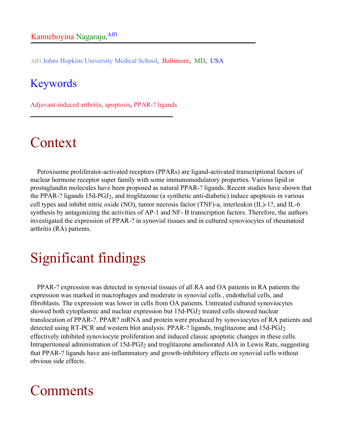Aff1 Johns Hopkins University Medical School, Baltimore, MD, USA

#### Keywords

Adjuvant-induced arthritis, apoptosis, PPAR-? ligands

#### Context

Peroxisome proliferator-activated receptors (PPARs) are ligand-activated transcriptional factors of nuclear hormone receptor super family with some immunomodulatory properties. Various lipid or prostaglandin molecules have been proposed as natural PPAR-? ligands. Recent studies have shown that the PPAR-? ligands 15d-PGJ2, and troglitazone (a synthetic anti-diabetic) induce apoptosis in various cell types and inhibit nitric oxide (NO), tumor necrosis factor (TNF)-a, interleukin (IL)-1?, and IL-6 synthesis by antagonizing the activities of AP-1 and NF- B transcription factors. Therefore, the authors investigated the expression of PPAR-? in synovial tissues and in cultured synoviocytes of rheumatoid arthritis (RA) patients.

## Significant findings

PPAR-? expression was detected in synovial tissues of all RA and OA patients in RA patients the expression was marked in macrophages and moderate in synovial cells , endothelial cells, and fibroblasts. The expression was lower in cells from OA patients. Untreated cultured synoviocytes showed both cytoplasmic and nuclear expression but 15d-PGJ<sub>2</sub> treated cells showed nuclear translocation of PPAR-?. PPAR? mRNA and protein were produced by synoviocytes of RA patients and detected using RT-PCR and western blot analysis. PPAR-? ligands, troglitazone and 15d-PGJ2 effectively inhibited synoviocyte proliferation and induced classic apoptotic changes in these cells. Intraperitoneal administration of 15d-PGJ2 and troglitazone ameliorated AIA in Lewis Rats, suggesting that PPAR-? ligands have ani-inflammatory and growth-inhibitory effects on synovial cells without obvious side effects.

#### Comments